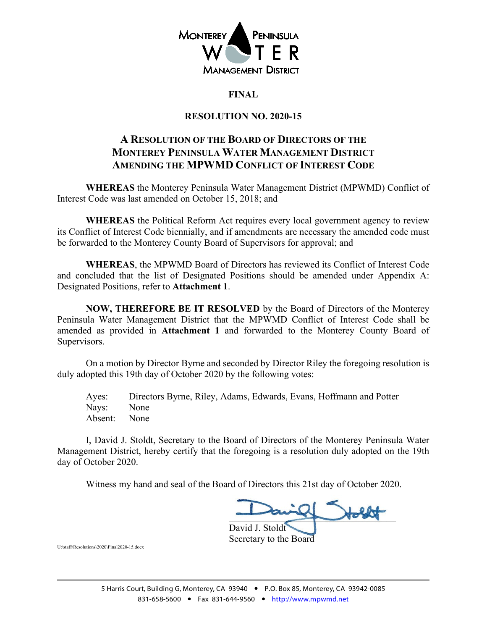

# **FINAL**

# **RESOLUTION NO. 2020-15**

# **A RESOLUTION OF THE BOARD OF DIRECTORS OF THE MONTEREY PENINSULA WATER MANAGEMENT DISTRICT AMENDING THE MPWMD CONFLICT OF INTEREST CODE**

**WHEREAS** the Monterey Peninsula Water Management District (MPWMD) Conflict of Interest Code was last amended on October 15, 2018; and

**WHEREAS** the Political Reform Act requires every local government agency to review its Conflict of Interest Code biennially, and if amendments are necessary the amended code must be forwarded to the Monterey County Board of Supervisors for approval; and

**WHEREAS**, the MPWMD Board of Directors has reviewed its Conflict of Interest Code and concluded that the list of Designated Positions should be amended under Appendix A: Designated Positions, refer to **Attachment 1**.

**NOW, THEREFORE BE IT RESOLVED** by the Board of Directors of the Monterey Peninsula Water Management District that the MPWMD Conflict of Interest Code shall be amended as provided in **Attachment 1** and forwarded to the Monterey County Board of Supervisors.

On a motion by Director Byrne and seconded by Director Riley the foregoing resolution is duly adopted this 19th day of October 2020 by the following votes:

Ayes: Directors Byrne, Riley, Adams, Edwards, Evans, Hoffmann and Potter Nays: None Absent: None

I, David J. Stoldt, Secretary to the Board of Directors of the Monterey Peninsula Water Management District, hereby certify that the foregoing is a resolution duly adopted on the 19th day of October 2020.

Witness my hand and seal of the Board of Directors this 21st day of October 2020.

 $\frac{1}{\sqrt{2}}$ David J. Stoldt Secretary to the Board

U:\staff\Resolutions\2020\Final2020-15.docx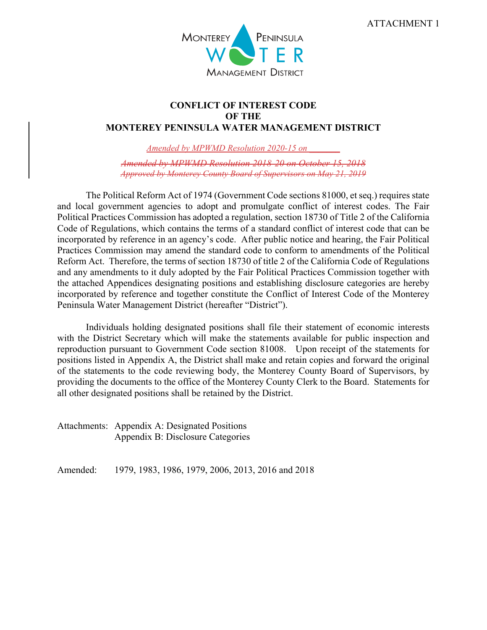

# **CONFLICT OF INTEREST CODE OF THE MONTEREY PENINSULA WATER MANAGEMENT DISTRICT**

*Amended by MPWMD Resolution 2020-15 on \_\_\_\_\_\_\_*

*Amended by MPWMD Resolution 2018-20 on October 15, 2018 Approved by Monterey County Board of Supervisors on May 21, 2019* 

The Political Reform Act of 1974 (Government Code sections 81000, et seq.) requires state and local government agencies to adopt and promulgate conflict of interest codes. The Fair Political Practices Commission has adopted a regulation, section 18730 of Title 2 of the California Code of Regulations, which contains the terms of a standard conflict of interest code that can be incorporated by reference in an agency's code. After public notice and hearing, the Fair Political Practices Commission may amend the standard code to conform to amendments of the Political Reform Act. Therefore, the terms of section 18730 of title 2 of the California Code of Regulations and any amendments to it duly adopted by the Fair Political Practices Commission together with the attached Appendices designating positions and establishing disclosure categories are hereby incorporated by reference and together constitute the Conflict of Interest Code of the Monterey Peninsula Water Management District (hereafter "District").

Individuals holding designated positions shall file their statement of economic interests with the District Secretary which will make the statements available for public inspection and reproduction pursuant to Government Code section 81008. Upon receipt of the statements for positions listed in Appendix A, the District shall make and retain copies and forward the original of the statements to the code reviewing body, the Monterey County Board of Supervisors, by providing the documents to the office of the Monterey County Clerk to the Board. Statements for all other designated positions shall be retained by the District.

Attachments: Appendix A: Designated Positions Appendix B: Disclosure Categories

Amended: 1979, 1983, 1986, 1979, 2006, 2013, 2016 and 2018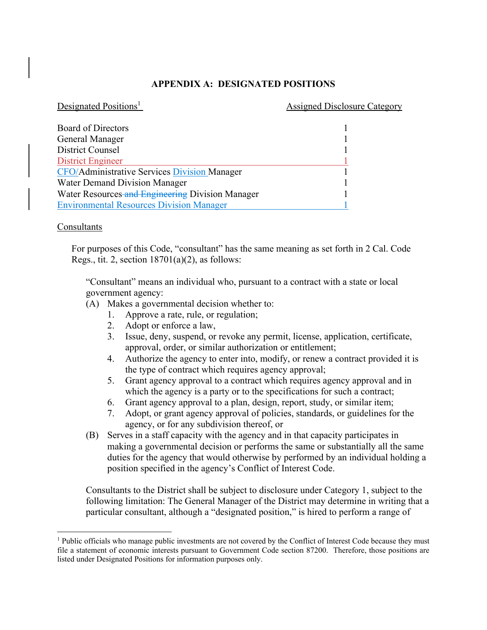# **APPENDIX A: DESIGNATED POSITIONS**

#### Designated Positions<sup>1</sup>

#### Assigned Disclosure Category

| <b>Board of Directors</b>                           |  |
|-----------------------------------------------------|--|
| General Manager                                     |  |
| <b>District Counsel</b>                             |  |
| <b>District Engineer</b>                            |  |
| <b>CFO/Administrative Services Division Manager</b> |  |
| Water Demand Division Manager                       |  |
| Water Resources and Engineering Division Manager    |  |
| <b>Environmental Resources Division Manager</b>     |  |

#### Consultants

For purposes of this Code, "consultant" has the same meaning as set forth in 2 Cal. Code Regs., tit. 2, section  $18701(a)(2)$ , as follows:

"Consultant" means an individual who, pursuant to a contract with a state or local government agency:

- (A) Makes a governmental decision whether to:
	- 1. Approve a rate, rule, or regulation;
	- 2. Adopt or enforce a law,
	- 3. Issue, deny, suspend, or revoke any permit, license, application, certificate, approval, order, or similar authorization or entitlement;
	- 4. Authorize the agency to enter into, modify, or renew a contract provided it is the type of contract which requires agency approval;
	- 5. Grant agency approval to a contract which requires agency approval and in which the agency is a party or to the specifications for such a contract;
	- 6. Grant agency approval to a plan, design, report, study, or similar item;
	- 7. Adopt, or grant agency approval of policies, standards, or guidelines for the agency, or for any subdivision thereof, or
- (B) Serves in a staff capacity with the agency and in that capacity participates in making a governmental decision or performs the same or substantially all the same duties for the agency that would otherwise by performed by an individual holding a position specified in the agency's Conflict of Interest Code.

Consultants to the District shall be subject to disclosure under Category 1, subject to the following limitation: The General Manager of the District may determine in writing that a particular consultant, although a "designated position," is hired to perform a range of

<sup>&</sup>lt;sup>1</sup> Public officials who manage public investments are not covered by the Conflict of Interest Code because they must file a statement of economic interests pursuant to Government Code section 87200. Therefore, those positions are listed under Designated Positions for information purposes only.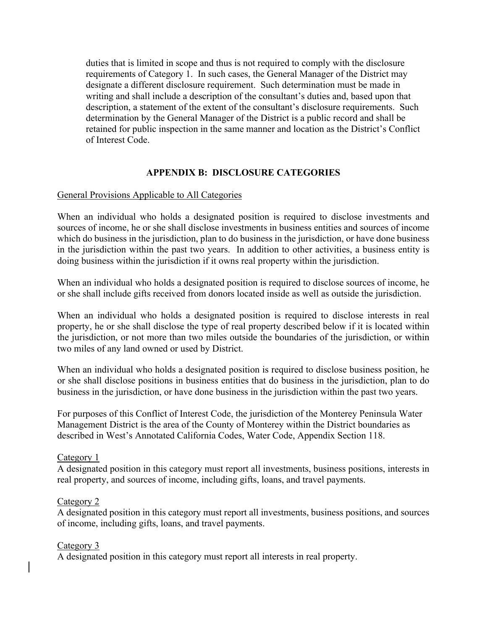duties that is limited in scope and thus is not required to comply with the disclosure requirements of Category 1. In such cases, the General Manager of the District may designate a different disclosure requirement. Such determination must be made in writing and shall include a description of the consultant's duties and, based upon that description, a statement of the extent of the consultant's disclosure requirements. Such determination by the General Manager of the District is a public record and shall be retained for public inspection in the same manner and location as the District's Conflict of Interest Code.

# **APPENDIX B: DISCLOSURE CATEGORIES**

# General Provisions Applicable to All Categories

When an individual who holds a designated position is required to disclose investments and sources of income, he or she shall disclose investments in business entities and sources of income which do business in the jurisdiction, plan to do business in the jurisdiction, or have done business in the jurisdiction within the past two years. In addition to other activities, a business entity is doing business within the jurisdiction if it owns real property within the jurisdiction.

When an individual who holds a designated position is required to disclose sources of income, he or she shall include gifts received from donors located inside as well as outside the jurisdiction.

When an individual who holds a designated position is required to disclose interests in real property, he or she shall disclose the type of real property described below if it is located within the jurisdiction, or not more than two miles outside the boundaries of the jurisdiction, or within two miles of any land owned or used by District.

When an individual who holds a designated position is required to disclose business position, he or she shall disclose positions in business entities that do business in the jurisdiction, plan to do business in the jurisdiction, or have done business in the jurisdiction within the past two years.

For purposes of this Conflict of Interest Code, the jurisdiction of the Monterey Peninsula Water Management District is the area of the County of Monterey within the District boundaries as described in West's Annotated California Codes, Water Code, Appendix Section 118.

### Category 1

A designated position in this category must report all investments, business positions, interests in real property, and sources of income, including gifts, loans, and travel payments.

### Category 2

A designated position in this category must report all investments, business positions, and sources of income, including gifts, loans, and travel payments.

### Category 3

A designated position in this category must report all interests in real property.